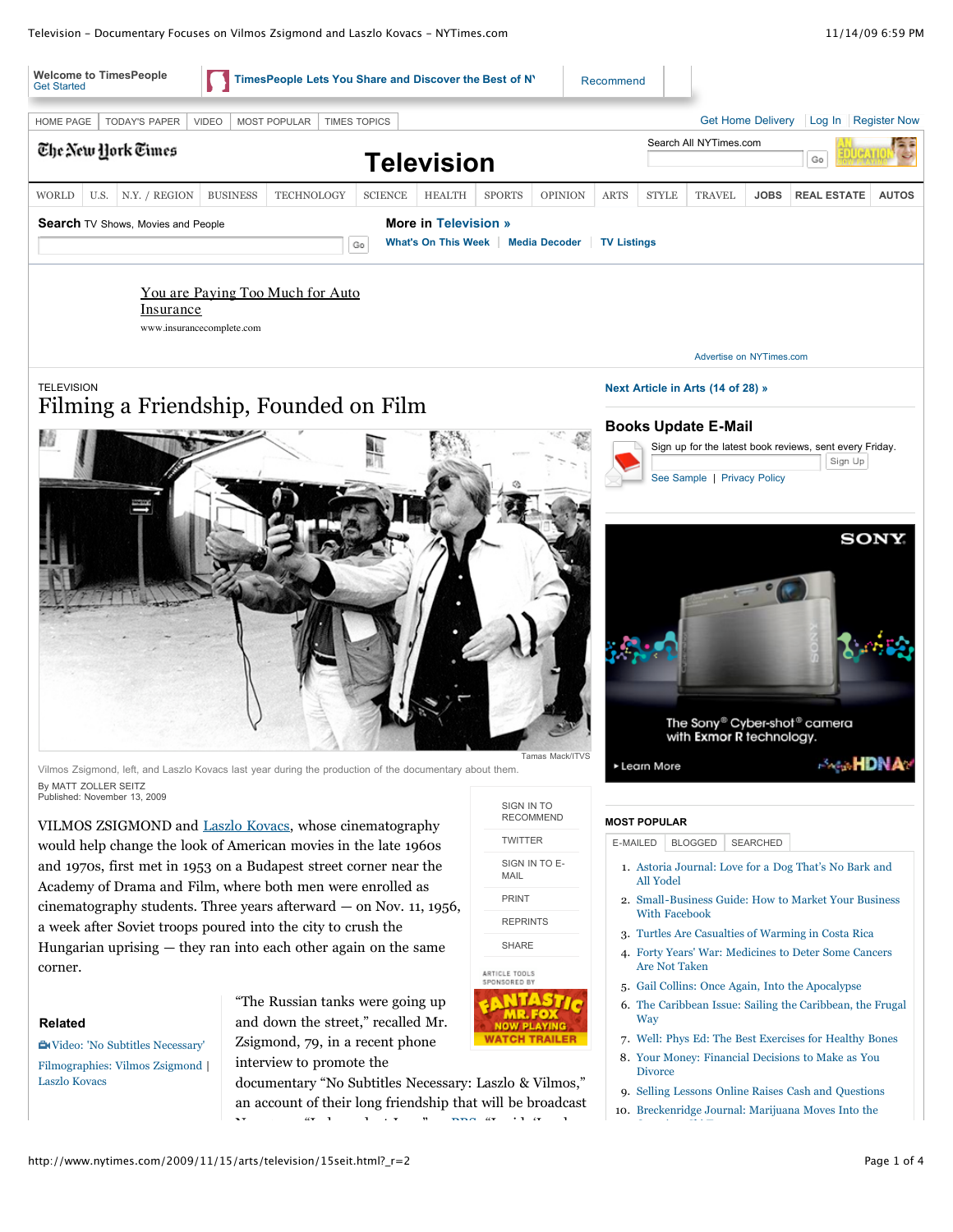

### **Related**

 Video: 'No Subtitles Necessary' [Filmographies: Vilmos Zsigmond](http://movies.nytimes.com/person/118036/Vilmos-Zsigmond/filmography) | [Laszlo Kovacs](http://movies.nytimes.com/person/97997/Laszlo-Kovacs/filmography)

"The Russian tanks were going up and down the street," recalled Mr. Zsigmond, 79, in a recent phone interview to promote the

documentary "No Subtitles Necessary: Laszlo & Vilmos," an account of their long friendship that will be broadcast Nov. 17 on "I said, 'Laszlo, 'Laszlo, 'Laszlo, 'Laszlo, 'Laszlo, 'Laszlo, 'Laszlo, 'Laszlo, 'Laszlo, 'Laszlo,<br>"I said, 'Laszlo, 'Laszlo, 'Laszlo, 'Laszlo, 'Laszlo, 'Laszlo, 'Laszlo, 'Laszlo, 'Laszlo, 'Laszlo, 'Laszlo, 'L



7. [Well: Phys Ed: The Best Exercises for Healthy Bones](http://well.blogs.nytimes.com/2009/11/11/phys-ed-the-best-exercises-for-healthy-bones/?em) 8. [Your Money: Financial Decisions to Make as You](http://www.nytimes.com/2009/11/14/your-money/14money.html?em) Divorce

Way

9. [Selling Lessons Online Raises Cash and Questions](http://www.nytimes.com/2009/11/15/education/15plans.html?em)

6. [The Caribbean Issue: Sailing the Caribbean, the Frugal](http://travel.nytimes.com/2009/11/15/travel/15sailing.html?em)

10. [Breckenridge Journal: Marijuana Moves Into the](http://www.nytimes.com/2009/11/14/us/14smoking.html?em)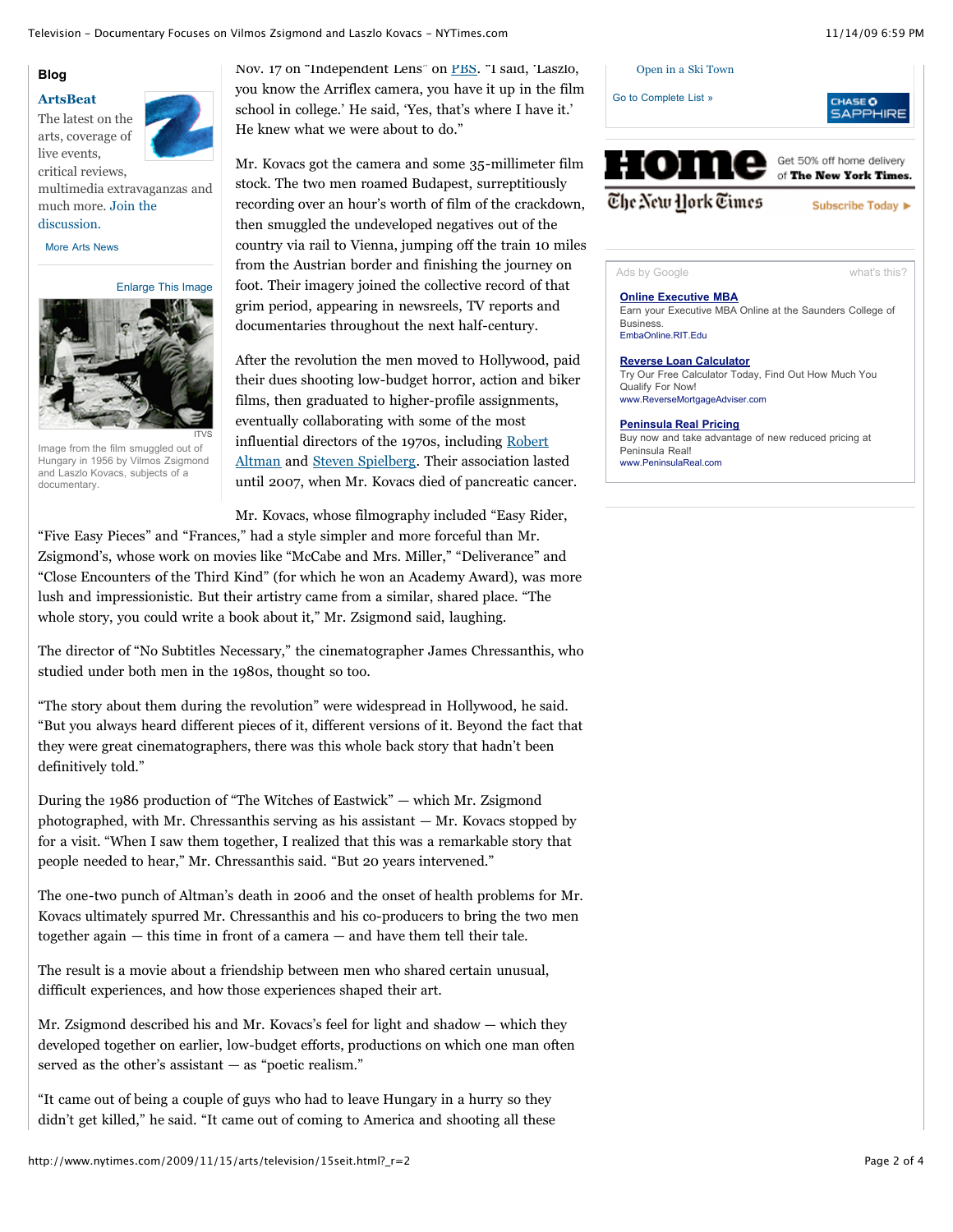# **Blog**

# **[ArtsBeat](http://artsbeat.blogs.nytimes.com/)**

The latest on the arts, coverage of live events,

critical reviews,



multimedia extravaganzas and [much more. Join the](http://artsbeat.blogs.nytimes.com/) discussion.

[More Arts News](http://www.nytimes.com/pages/arts/index.html)

[Enlarge This Image](javascript:pop_me_up2()



Image from the film smuggled out of Hungary in 1956 by Vilmos Zsigmond and Laszlo Kovacs, subjects of a documentary.

Nov. 17 on "Independent Lens" on [PBS.](http://topics.nytimes.com/top/reference/timestopics/organizations/p/public_broadcasting_service/index.html?inline=nyt-org) "I said, 'Laszlo, you know the Arriflex camera, you have it up in the film school in college.' He said, 'Yes, that's where I have it.' He knew what we were about to do."

Mr. Kovacs got the camera and some 35-millimeter film stock. The two men roamed Budapest, surreptitiously recording over an hour's worth of film of the crackdown, then smuggled the undeveloped negatives out of the country via rail to Vienna, jumping off the train 10 miles from the Austrian border and finishing the journey on foot. Their imagery joined the collective record of that grim period, appearing in newsreels, TV reports and documentaries throughout the next half-century.

After the revolution the men moved to Hollywood, paid their dues shooting low-budget horror, action and biker films, then graduated to higher-profile assignments, eventually collaborating with some of the most influential directors of the 1970s, including Robert [Altman and](http://topics.nytimes.com/top/reference/timestopics/people/a/robert_altman/index.html?inline=nyt-per) [Steven Spielber](http://topics.nytimes.com/top/reference/timestopics/people/s/steven_spielberg/index.html?inline=nyt-per)[g. Their association las](http://topics.nytimes.com/top/reference/timestopics/people/a/robert_altman/index.html?inline=nyt-per)ted until 2007, when Mr. Kovacs died of pancreatic cancer.

Mr. Kovacs, whose filmography included "Easy Rider,

"Five Easy Pieces" and "Frances," had a style simpler and more forceful than Mr. Zsigmond's, whose work on movies like "McCabe and Mrs. Miller," "Deliverance" and "Close Encounters of the Third Kind" (for which he won an Academy Award), was more lush and impressionistic. But their artistry came from a similar, shared place. "The whole story, you could write a book about it," Mr. Zsigmond said, laughing.

The director of "No Subtitles Necessary," the cinematographer James Chressanthis, who studied under both men in the 1980s, thought so too.

"The story about them during the revolution" were widespread in Hollywood, he said. "But you always heard different pieces of it, different versions of it. Beyond the fact that they were great cinematographers, there was this whole back story that hadn't been definitively told."

During the 1986 production of "The Witches of Eastwick" — which Mr. Zsigmond photographed, with Mr. Chressanthis serving as his assistant — Mr. Kovacs stopped by for a visit. "When I saw them together, I realized that this was a remarkable story that people needed to hear," Mr. Chressanthis said. "But 20 years intervened."

The one-two punch of Altman's death in 2006 and the onset of health problems for Mr. Kovacs ultimately spurred Mr. Chressanthis and his co-producers to bring the two men together again — this time in front of a camera — and have them tell their tale.

The result is a movie about a friendship between men who shared certain unusual, difficult experiences, and how those experiences shaped their art.

Mr. Zsigmond described his and Mr. Kovacs's feel for light and shadow — which they developed together on earlier, low-budget efforts, productions on which one man often served as the other's assistant  $-$  as "poetic realism."

"It came out of being a couple of guys who had to leave Hungary in a hurry so they didn't get killed," he said. "It came out of coming to America and shooting all these





Ads by Google **Warehouse Strategies** [what's this?](http://www.nytimes.com/ref/membercenter/faq/linkingqa16.html)

**[Online Executive MBA](http://googleads.g.doubleclick.net/aclk?sa=l&ai=BBD4r5m3_SryNO6rojQTB-JCiAaWltnets8S4CvHSlssUsNbYARABGAQgnPP4ASgDOABQmem51AJgyY7ihsijkBmgAYW-tfQDsgEPd3d3Lm55dGltZXMuY29tyAEB2gE9aHR0cDovL3d3dy5ueXRpbWVzLmNvbS8yMDA5LzExLzE1L2FydHMvdGVsZXZpc2lvbi8xNXNlaXQuaHRtbIACAcACAcgC14KoB6gDAegD1gToA7MC9QMABACE9QMgAAAA&num=4&sig=AGiWqtyF5PTLQt9zKiC08nJpJMu6d7z4eA&client=ca-nytimes_article_var&adurl=http://embaonline.rit.edu/executive-mba-nc/)**

[Earn your Executive MBA Online at the Saunders College of](http://googleads.g.doubleclick.net/aclk?sa=l&ai=BBD4r5m3_SryNO6rojQTB-JCiAaWltnets8S4CvHSlssUsNbYARABGAQgnPP4ASgDOABQmem51AJgyY7ihsijkBmgAYW-tfQDsgEPd3d3Lm55dGltZXMuY29tyAEB2gE9aHR0cDovL3d3dy5ueXRpbWVzLmNvbS8yMDA5LzExLzE1L2FydHMvdGVsZXZpc2lvbi8xNXNlaXQuaHRtbIACAcACAcgC14KoB6gDAegD1gToA7MC9QMABACE9QMgAAAA&num=4&sig=AGiWqtyF5PTLQt9zKiC08nJpJMu6d7z4eA&client=ca-nytimes_article_var&adurl=http://embaonline.rit.edu/executive-mba-nc/) **Business** [EmbaOnline.RIT.Edu](http://googleads.g.doubleclick.net/aclk?sa=l&ai=BBD4r5m3_SryNO6rojQTB-JCiAaWltnets8S4CvHSlssUsNbYARABGAQgnPP4ASgDOABQmem51AJgyY7ihsijkBmgAYW-tfQDsgEPd3d3Lm55dGltZXMuY29tyAEB2gE9aHR0cDovL3d3dy5ueXRpbWVzLmNvbS8yMDA5LzExLzE1L2FydHMvdGVsZXZpc2lvbi8xNXNlaXQuaHRtbIACAcACAcgC14KoB6gDAegD1gToA7MC9QMABACE9QMgAAAA&num=4&sig=AGiWqtyF5PTLQt9zKiC08nJpJMu6d7z4eA&client=ca-nytimes_article_var&adurl=http://embaonline.rit.edu/executive-mba-nc/)

## **[Reverse Loan Calculator](http://googleads.g.doubleclick.net/aclk?sa=l&ai=BSzvl5m3_SryNO6rojQTB-JCiAau53psB-bOthg7Z2e-IDtDaZBACGAUgnPP4ASgDOABQufOy1fr_____AWDJjuKGyKOQGaABn7zV9gOyAQ93d3cubnl0aW1lcy5jb23IAQHaAT1odHRwOi8vd3d3Lm55dGltZXMuY29tLzIwMDkvMTEvMTUvYXJ0cy90ZWxldmlzaW9uLzE1c2VpdC5odG1sgAIBwAIByAKdlpEGqAMB6APWBOgDswL1AwAEAIT1AyAAAAA&num=5&sig=AGiWqtz9VcWwE24I49fFDKobgxQgpNm90w&client=ca-nytimes_article_var&adurl=http://www.reversemortgageadviser.com/calculator.asp%3Fcid%3D70150000000A7kb%26pid%3DGoogle%26camp%3DADV-US-Site%26kw%3Dnytimes.com%253E%253Eart%252C%2520dance%252C%2520tv%2520%2526%2520music%252Cbottom%2520right%26ag%3DNews)**

[Try Our Free Calculator Today, Find Out How Much You](http://googleads.g.doubleclick.net/aclk?sa=l&ai=BSzvl5m3_SryNO6rojQTB-JCiAau53psB-bOthg7Z2e-IDtDaZBACGAUgnPP4ASgDOABQufOy1fr_____AWDJjuKGyKOQGaABn7zV9gOyAQ93d3cubnl0aW1lcy5jb23IAQHaAT1odHRwOi8vd3d3Lm55dGltZXMuY29tLzIwMDkvMTEvMTUvYXJ0cy90ZWxldmlzaW9uLzE1c2VpdC5odG1sgAIBwAIByAKdlpEGqAMB6APWBOgDswL1AwAEAIT1AyAAAAA&num=5&sig=AGiWqtz9VcWwE24I49fFDKobgxQgpNm90w&client=ca-nytimes_article_var&adurl=http://www.reversemortgageadviser.com/calculator.asp%3Fcid%3D70150000000A7kb%26pid%3DGoogle%26camp%3DADV-US-Site%26kw%3Dnytimes.com%253E%253Eart%252C%2520dance%252C%2520tv%2520%2526%2520music%252Cbottom%2520right%26ag%3DNews) Qualify For Now! [www.ReverseMortgageAdviser.com](http://googleads.g.doubleclick.net/aclk?sa=l&ai=BSzvl5m3_SryNO6rojQTB-JCiAau53psB-bOthg7Z2e-IDtDaZBACGAUgnPP4ASgDOABQufOy1fr_____AWDJjuKGyKOQGaABn7zV9gOyAQ93d3cubnl0aW1lcy5jb23IAQHaAT1odHRwOi8vd3d3Lm55dGltZXMuY29tLzIwMDkvMTEvMTUvYXJ0cy90ZWxldmlzaW9uLzE1c2VpdC5odG1sgAIBwAIByAKdlpEGqAMB6APWBOgDswL1AwAEAIT1AyAAAAA&num=5&sig=AGiWqtz9VcWwE24I49fFDKobgxQgpNm90w&client=ca-nytimes_article_var&adurl=http://www.reversemortgageadviser.com/calculator.asp%3Fcid%3D70150000000A7kb%26pid%3DGoogle%26camp%3DADV-US-Site%26kw%3Dnytimes.com%253E%253Eart%252C%2520dance%252C%2520tv%2520%2526%2520music%252Cbottom%2520right%26ag%3DNews)

#### **[Peninsula Real Pricing](http://googleads.g.doubleclick.net/aclk?sa=l&ai=Bzy8C5m3_SryNO6rojQTB-JCiAfie7LgBpvqu0QrGrMCIENCeeBADGAYgnPP4ASgDOABQ5fTrmPn_____AWDJjuKGyKOQGaABqrDz8QOyAQ93d3cubnl0aW1lcy5jb23IAQHaAT1odHRwOi8vd3d3Lm55dGltZXMuY29tLzIwMDkvMTEvMTUvYXJ0cy90ZWxldmlzaW9uLzE1c2VpdC5odG1sgAIBwAIByAK8k9sHqAMB6APWBOgDswL1AwAEAIT1AyAAAAA&num=6&sig=AGiWqtxetft0Iqbblso77yg3kX4uogDlsQ&client=ca-nytimes_article_var&adurl=http://www.peninsulareal.com/)**

[Buy now and take advantage of new reduced pricing at](http://googleads.g.doubleclick.net/aclk?sa=l&ai=Bzy8C5m3_SryNO6rojQTB-JCiAfie7LgBpvqu0QrGrMCIENCeeBADGAYgnPP4ASgDOABQ5fTrmPn_____AWDJjuKGyKOQGaABqrDz8QOyAQ93d3cubnl0aW1lcy5jb23IAQHaAT1odHRwOi8vd3d3Lm55dGltZXMuY29tLzIwMDkvMTEvMTUvYXJ0cy90ZWxldmlzaW9uLzE1c2VpdC5odG1sgAIBwAIByAK8k9sHqAMB6APWBOgDswL1AwAEAIT1AyAAAAA&num=6&sig=AGiWqtxetft0Iqbblso77yg3kX4uogDlsQ&client=ca-nytimes_article_var&adurl=http://www.peninsulareal.com/) Peninsula Real! [www.PeninsulaReal.com](http://googleads.g.doubleclick.net/aclk?sa=l&ai=Bzy8C5m3_SryNO6rojQTB-JCiAfie7LgBpvqu0QrGrMCIENCeeBADGAYgnPP4ASgDOABQ5fTrmPn_____AWDJjuKGyKOQGaABqrDz8QOyAQ93d3cubnl0aW1lcy5jb23IAQHaAT1odHRwOi8vd3d3Lm55dGltZXMuY29tLzIwMDkvMTEvMTUvYXJ0cy90ZWxldmlzaW9uLzE1c2VpdC5odG1sgAIBwAIByAK8k9sHqAMB6APWBOgDswL1AwAEAIT1AyAAAAA&num=6&sig=AGiWqtxetft0Iqbblso77yg3kX4uogDlsQ&client=ca-nytimes_article_var&adurl=http://www.peninsulareal.com/)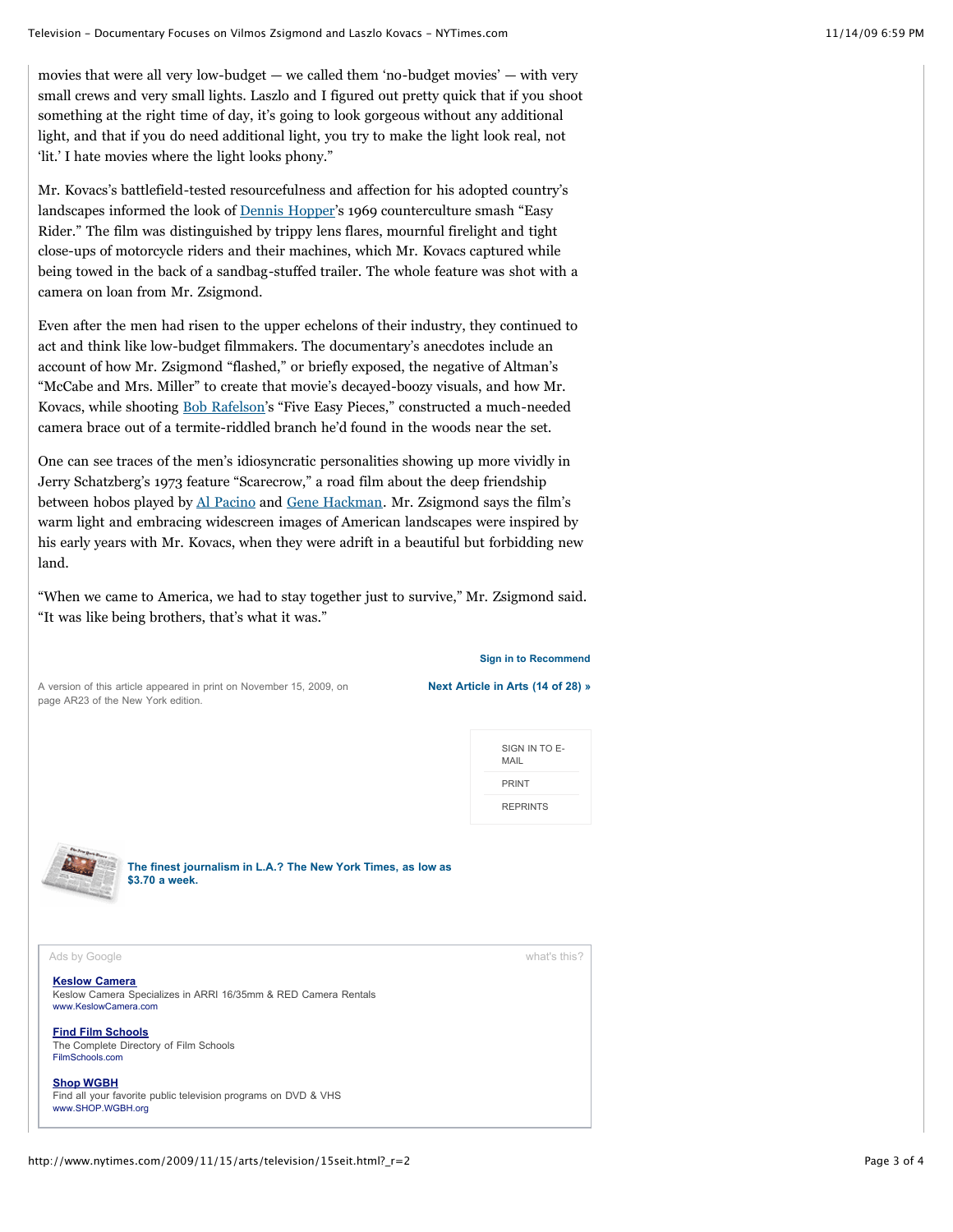movies that were all very low-budget — we called them 'no-budget movies' — with very small crews and very small lights. Laszlo and I figured out pretty quick that if you shoot something at the right time of day, it's going to look gorgeous without any additional light, and that if you do need additional light, you try to make the light look real, not 'lit.' I hate movies where the light looks phony."

Mr. Kovacs's battlefield-tested resourcefulness and affection for his adopted country's landscapes informed the look of [Dennis Hopper](http://movies.nytimes.com/person/94825/Dennis-Hopper?inline=nyt-per)'s 1969 counterculture smash "Easy Rider." The film was distinguished by trippy lens flares, mournful firelight and tight close-ups of motorcycle riders and their machines, which Mr. Kovacs captured while being towed in the back of a sandbag-stuffed trailer. The whole feature was shot with a camera on loan from Mr. Zsigmond.

Even after the men had risen to the upper echelons of their industry, they continued to act and think like low-budget filmmakers. The documentary's anecdotes include an account of how Mr. Zsigmond "flashed," or briefly exposed, the negative of Altman's "McCabe and Mrs. Miller" to create that movie's decayed-boozy visuals, and how Mr. Kovacs, while shooting [Bob Rafelson](http://movies.nytimes.com/person/107395/Bob-Rafelson?inline=nyt-per)'s "Five Easy Pieces," constructed a much-needed camera brace out of a termite-riddled branch he'd found in the woods near the set.

One can see traces of the men's idiosyncratic personalities showing up more vividly in Jerry Schatzberg's 1973 feature "Scarecrow," a road film about the deep friendship between hobos played by [Al Pacino](http://movies.nytimes.com/person/1548569/Al-Pacino?inline=nyt-per) and [Gene Hackman](http://movies.nytimes.com/person/29486/Gene-Hackman?inline=nyt-per). Mr. Zsigmond says the film's warm light and embracing widescreen images of American landscapes were inspired by his early years with Mr. Kovacs, when they were adrift in a beautiful but forbidding new land.

"When we came to America, we had to stay together just to survive," Mr. Zsigmond said. "It was like being brothers, that's what it was."

#### **Sign in to Recommend**

A version of this article appeared in print on November 15, 2009, on **Next Article in Arts (14 of 28)** » page AR23 of the New York edition.





**[The finest journalism in L.A.? The New York Times, as low as](http://www.nytimes.com/adx/bin/adx_click.html?type=goto&opzn&page=www.nytimes.com/yr/mo/day/arts/television&pos=Bottom1&sn2=f8d9d7e5/4bf0dfa9&sn1=9cc7ea94/d4beda89&camp=nyt2009-circ-la_footer_journalism_34QJL&ad=052909-la_footer_journalism&goto=https%3A%2F%2Fwww%2Enytimesathome%2Ecom%2Foffer%2Ephp%3Fid%3D52%26MediaCode%3DW16AK%26CMP%3D34QJL) \$3.70 a week.**

| Ads by Google                                                                                                  | what's this? |
|----------------------------------------------------------------------------------------------------------------|--------------|
| <b>Keslow Camera</b><br>Keslow Camera Specializes in ARRI 16/35mm & RED Camera Rentals<br>www.KeslowCamera.com |              |
| <b>Find Film Schools</b><br>The Complete Directory of Film Schools<br>FilmSchools.com                          |              |
| <b>Shop WGBH</b><br>Find all your favorite public television programs on DVD & VHS<br>www.SHOP.WGBH.org        |              |